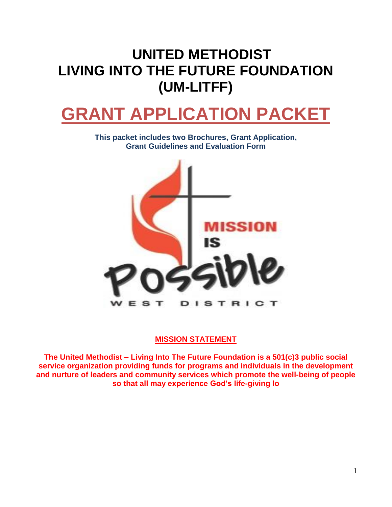## **UNITED METHODIST LIVING INTO THE FUTURE FOUNDATION (UM-LITFF)**

# **GRANT APPLICATION PACKET**

**This packet includes two Brochures, Grant Application, Grant Guidelines and Evaluation Form**



#### **MISSION STATEMENT**

**The United Methodist – Living Into The Future Foundation is a 501(c)3 public social service organization providing funds for programs and individuals in the development and nurture of leaders and community services which promote the well-being of people so that all may experience God's life-giving lo**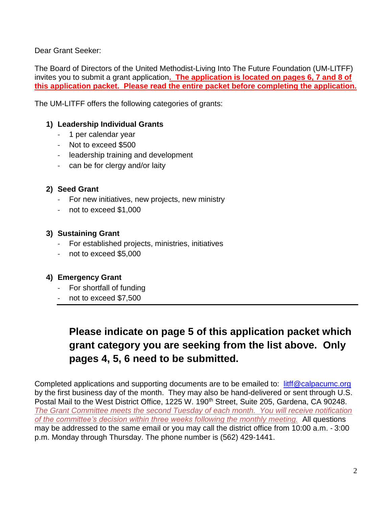Dear Grant Seeker:

The Board of Directors of the United Methodist-Living Into The Future Foundation (UM-LITFF) invites you to submit a grant application**. The application is located on pages 6, 7 and 8 of this application packet. Please read the entire packet before completing the application.** 

The UM-LITFF offers the following categories of grants:

#### **1) Leadership Individual Grants**

- 1 per calendar year
- Not to exceed \$500
- leadership training and development
- can be for clergy and/or laity

#### **2) Seed Grant**

- For new initiatives, new projects, new ministry
- not to exceed \$1,000

#### **3) Sustaining Grant**

- For established projects, ministries, initiatives
- not to exceed \$5,000

#### **4) Emergency Grant**

- For shortfall of funding
- not to exceed \$7,500

### **Please indicate on page 5 of this application packet which grant category you are seeking from the list above. Only pages 4, 5, 6 need to be submitted.**

Completed applications and supporting documents are to be emailed to: [litff@calpacumc.org](mailto:litff@calpacumc.org) by the first business day of the month. They may also be hand-delivered or sent through U.S. Postal Mail to the West District Office, 1225 W. 190<sup>th</sup> Street, Suite 205, Gardena, CA 90248. *The Grant Committee meets the second Tuesday of each month. You will receive notification of the committee's decision within three weeks following the monthly meeting.* All questions may be addressed to the same email or you may call the district office from 10:00 a.m. ‐ 3:00 p.m. Monday through Thursday. The phone number is (562) 429‐1441.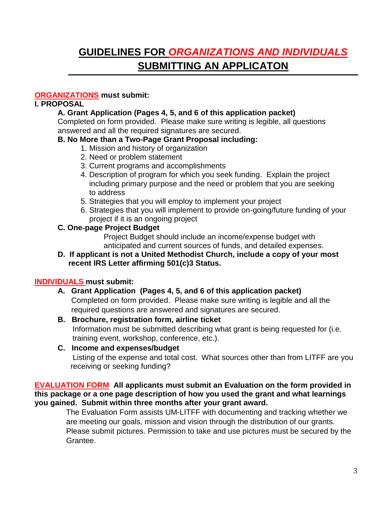## **GUIDELINES FOR** *ORGANIZATIONS AND INDIVIDUALS* **SUBMITTING AN APPLICATON**

#### **ORGANIZATIONS must submit:**

#### **I. PROPOSAL**

#### **A. Grant Application (Pages 4, 5, and 6 of this application packet)**

Completed on form provided. Please make sure writing is legible, all questions answered and all the required signatures are secured.

#### **B. No More than a Two-Page Grant Proposal including:**

- 1. Mission and history of organization
- 2. Need or problem statement
- 3. Current programs and accomplishments
- 4. Description of program for which you seek funding. Explain the project including primary purpose and the need or problem that you are seeking to address
- 5. Strategies that you will employ to implement your project
- 6. Strategies that you will implement to provide on-going/future funding of your project if it is an ongoing project

#### **C. One**‐**page Project Budget**

Project Budget should include an income/expense budget with anticipated and current sources of funds, and detailed expenses.

#### **D. If applicant is not a United Methodist Church, include a copy of your most recent IRS Letter affirming 501(c)3 Status.**

#### **INDIVIDUALS must submit:**

- **A. Grant Application (Pages 4, 5, and 6 of this application packet)** Completed on form provided. Please make sure writing is legible and all the required questions are answered and signatures are secured.
- **B. Brochure, registration form, airline ticket** Information must be submitted describing what grant is being requested for (i.e. training event, workshop, conference, etc.).

#### **C. Income and expenses/budget** Listing of the expense and total cost. What sources other than from LITFF are you receiving or seeking funding?

#### **EVALUATION FORM All applicants must submit an Evaluation on the form provided in this package or a one page description of how you used the grant and what learnings you gained. Submit within three months after your grant award.**

 The Evaluation Form assists UM-LITFF with documenting and tracking whether we are meeting our goals, mission and vision through the distribution of our grants. Please submit pictures. Permission to take and use pictures must be secured by the Grantee.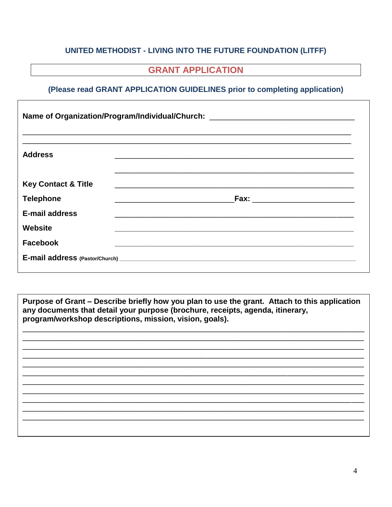#### UNITED METHODIST - LIVING INTO THE FUTURE FOUNDATION (LITFF)

#### **GRANT APPLICATION**

#### (Please read GRANT APPLICATION GUIDELINES prior to completing application)

| Name of Organization/Program/Individual/Church: ________________________________ |  |  |  |
|----------------------------------------------------------------------------------|--|--|--|
| <b>Address</b>                                                                   |  |  |  |
| <b>Key Contact &amp; Title</b>                                                   |  |  |  |
| <b>Telephone</b>                                                                 |  |  |  |
| <b>E-mail address</b>                                                            |  |  |  |
| <b>Website</b>                                                                   |  |  |  |
| <b>Facebook</b>                                                                  |  |  |  |
|                                                                                  |  |  |  |

Purpose of Grant – Describe briefly how you plan to use the grant. Attach to this application any documents that detail your purpose (brochure, receipts, agenda, itinerary, program/workshop descriptions, mission, vision, goals).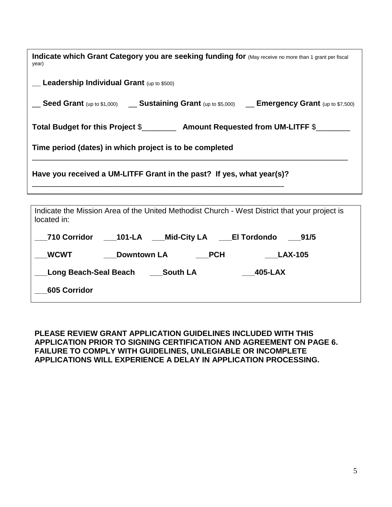| Indicate which Grant Category you are seeking funding for (May receive no more than 1 grant per fiscal<br>year) |  |  |  |  |
|-----------------------------------------------------------------------------------------------------------------|--|--|--|--|
| $\Gamma$ Leadership Individual Grant (up to \$500)                                                              |  |  |  |  |
| Seed Grant (up to \$1,000) __ Sustaining Grant (up to \$5,000) __ Emergency Grant (up to \$7,500)               |  |  |  |  |
| Total Budget for this Project \$___________ Amount Requested from UM-LITFF \$____                               |  |  |  |  |
| Time period (dates) in which project is to be completed                                                         |  |  |  |  |
| Have you received a UM-LITFF Grant in the past? If yes, what year(s)?                                           |  |  |  |  |
|                                                                                                                 |  |  |  |  |
| Indicate the Mission Area of the United Methodist Church - West District that your project is<br>located in:    |  |  |  |  |
| <b>710 Corridor</b><br>101-LA<br>Mid-City LA<br>El Tordondo<br>91/5                                             |  |  |  |  |

| PLEASE REVIEW GRANT APPLICATION GUIDELINES INCLUDED WITH THIS              |
|----------------------------------------------------------------------------|
| <b>APPLICATION PRIOR TO SIGNING CERTIFICATION AND AGREEMENT ON PAGE 6.</b> |
| <b>FAILURE TO COMPLY WITH GUIDELINES, UNLEGIABLE OR INCOMPLETE</b>         |
| APPLICATIONS WILL EXPERIENCE A DELAY IN APPLICATION PROCESSING.            |

**\_\_\_WCWT \_\_\_Downtown LA \_\_\_PCH \_\_\_LAX-105**

**\_\_\_Long Beach-Seal Beach \_\_\_South LA \_\_\_405-LAX**

**\_\_\_605 Corridor**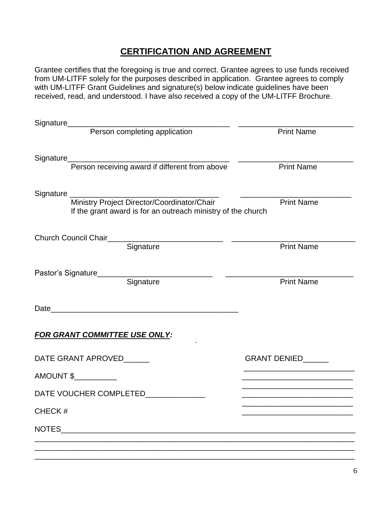#### **CERTIFICATION AND AGREEMENT**

Grantee certifies that the foregoing is true and correct. Grantee agrees to use funds received from UM-LITFF solely for the purposes described in application. Grantee agrees to comply with UM-LITFF Grant Guidelines and signature(s) below indicate guidelines have been received, read, and understood. I have also received a copy of the UM-LITFF Brochure.

| Signature<br>Person completing application                                                                            | <b>Print Name</b>                                                                                                    |
|-----------------------------------------------------------------------------------------------------------------------|----------------------------------------------------------------------------------------------------------------------|
|                                                                                                                       |                                                                                                                      |
| Signature<br>Person receiving award if different from above                                                           | <b>Print Name</b>                                                                                                    |
|                                                                                                                       |                                                                                                                      |
| Signature Ministry Project Director/Coordinator/Chair<br>If the grant award is for an outreach ministry of the church | <b>Print Name</b>                                                                                                    |
| Church Council Chair<br>Signature                                                                                     |                                                                                                                      |
|                                                                                                                       | <b>Print Name</b>                                                                                                    |
|                                                                                                                       |                                                                                                                      |
| Signature                                                                                                             | <b>Print Name</b>                                                                                                    |
|                                                                                                                       |                                                                                                                      |
| <b>FOR GRANT COMMITTEE USE ONLY:</b>                                                                                  |                                                                                                                      |
| DATE GRANT APROVED______                                                                                              | <b>GRANT DENIED</b>                                                                                                  |
| $AMOUNT$ \$                                                                                                           |                                                                                                                      |
| DATE VOUCHER COMPLETED                                                                                                | <u> 1989 - Johann Harry Barn, mars ar yn y brenin y brenin y brenin y brenin y brenin y brenin y brenin y brenin</u> |
| CHECK#                                                                                                                |                                                                                                                      |
| NOTES                                                                                                                 |                                                                                                                      |
|                                                                                                                       |                                                                                                                      |
|                                                                                                                       |                                                                                                                      |